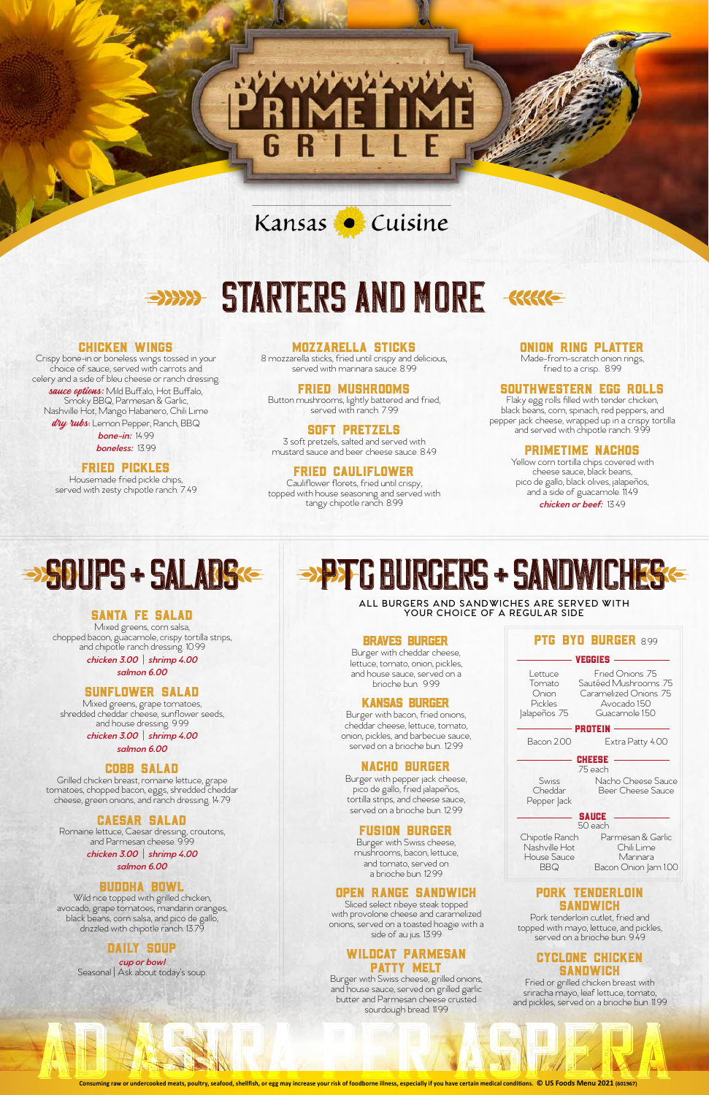## Kansas Cuisine

# STARTERS AND MORE SKRIE



#### Chicken Wings

sauce options: Mild Buffalo, Hot Buffalo, Smoky BBQ, Parmesan & Garlic, Nashville Hot, Mango Habanero, Chili Lime dry rubs: Lemon Pepper, Ranch, BBQ *bone-in:* 14.99

Crispy bone-in or boneless wings tossed in your choice of sauce, served with carrots and celery and a side of bleu cheese or ranch dressing.

*boneless:* 13.99

### Fried Pickles

Housemade fried pickle chips, served with zesty chipotle ranch. 7.49

#### Mozzarella Sticks

8 mozzarella sticks, fried until crispy and delicious, served with marinara sauce. 8.99

#### Fried Mushrooms

Button mushrooms, lightly battered and fried, served with ranch. 7.99

#### Soft Pretzels

3 soft pretzels, salted and served with mustard sauce and beer cheese sauce. 8.49

### Fried Cauliflower

Cauliflower florets, fried until crispy, topped with house seasoning and served with tangy chipotle ranch. 8.99

#### Onion Ring Platter

Made-from-scratch onion rings, fried to a crisp.. 8.99

#### Southwestern Egg Rolls

Flaky egg rolls filled with tender chicken, black beans, corn, spinach, red peppers, and pepper jack cheese, wrapped up in a crispy tortilla and served with chipotle ranch. 9.99

#### PrimeTime Nachos

Yellow corn tortilla chips covered with cheese sauce, black beans, pico de gallo, black olives, jalapeños, and a side of guacamole. 11.49 *chicken or beef:* 13.49

#### Pork Tenderloin **SANDWICH**

#### Santa Fe Salad

Mixed greens, corn salsa, chopped bacon, guacamole, crispy tortilla strips, and chipotle ranch dressing. 10.99

> *chicken 3.00* | *shrimp 4.00 salmon 6.00*

> > Pepper Jack Chipotle Ranch Nashville Hot House Sauce BBQ Parmesan & Garlic Chili Lime Marinara Bacon Onion Jam 1.00 **SAUCE** .50 each

#### Sunflower Salad

Mixed greens, grape tomatoes, shredded cheddar cheese, sunflower seeds, and house dressing. 9.99

> *chicken 3.00* | *shrimp 4.00 salmon 6.00*

#### Cobb Salad

Grilled chicken breast, romaine lettuce, grape tomatoes, chopped bacon, eggs, shredded cheddar cheese, green onions, and ranch dressing. 14.79

# $\rightarrow$ SOUPS + SALADS P B GURGERS + SANDWICHES

#### Caesar Salad

Romaine lettuce, Caesar dressing, croutons, and Parmesan cheese. 9.99

> *chicken 3.00* | *shrimp 4.00 salmon 6.00*

#### Buddha Bowl

Wild rice topped with grilled chicken, avocado, grape tomatoes, mandarin oranges, black beans, corn salsa, and pico de gallo, drizzled with chipotle ranch. 13.79

#### Daily Soup

*cup or bowl*  Seasonal | Ask about today's soup. **ALL BURGERS AND SANDWICHES ARE SERVED WITH YOUR CHOICE OF A REGULAR SIDE**

#### Open Range Sandwich

Sliced select ribeye steak topped with provolone cheese and caramelized onions, served on a toasted hoagie with a side of au jus. 13.99

#### Wildcat Parmesan Patty Melt

Burger with Swiss cheese, grilled onions, and house sauce, served on grilled garlic butter and Parmesan cheese crusted sourdough bread. 11.99

| VEGGIES                                                |                                                                                                  |
|--------------------------------------------------------|--------------------------------------------------------------------------------------------------|
| Lettuce<br>Tomato<br>Onion<br>Pickles<br>Jalapeños .75 | Fried Onions 75<br>Sautéed Mushrooms 75<br>Caramelized Onions 75<br>Avocado 150<br>Guacamole 150 |
| <b>PROTEIN</b>                                         |                                                                                                  |
| Bacon 200                                              | Extra Patty 4.00                                                                                 |
| HH 1551                                                |                                                                                                  |
|                                                        | 75 each                                                                                          |
| Swiss<br>Cheddar                                       | Nacho Cheese Sauce<br>Beer Cheese Sauce                                                          |

Pork tenderloin cutlet, fried and topped with mayo, lettuce, and pickles, served on a brioche bun. 9.49

#### Cyclone Chicken Sandwich

Fried or grilled chicken breast with sriracha mayo, leaf lettuce, tomato, and pickles, served on a brioche bun. 11.99

**Consuming raw or undercooked meats, poultry, seafood, shellfish, or egg may increase your risk of foodborne illness, especially if you have certain medical conditions. © US Foods Menu 2021 (601967)** butter and Parmesan cheese crusted<br>sourdough bread 1199<br>consuming raw or undercooked meats, poultry, seafood, shellfish, or egg may increase your risk of foodborne illness, especially if you have certain medical conditions

#### Braves Burger

Burger with cheddar cheese, lettuce, tomato, onion, pickles, and house sauce, served on a brioche bun. 9.99

#### Kansas Burger

Burger with bacon, fried onions, cheddar cheese, lettuce, tomato, onion, pickles, and barbecue sauce, served on a brioche bun.. 12.99

### Nacho Burger

Burger with pepper jack cheese, pico de gallo, fried jalapeños, tortilla strips, and cheese sauce,

#### PTG BYO BURGER 8.99

served on a brioche bun. 12.99

#### Fusion Burger

Burger with Swiss cheese, mushrooms, bacon, lettuce, and tomato, served on a brioche bun. 12.99